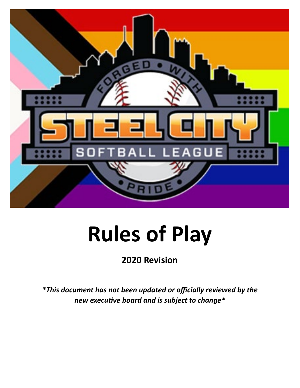

# **Rules of Play**

## **2020 Revision**

*\*This document has not been updated or officially reviewed by the new executive board and is subject to change\**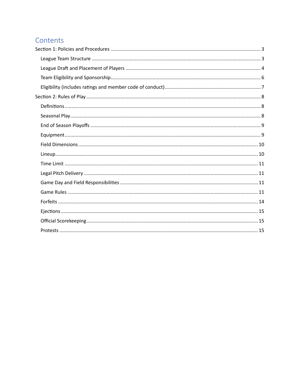## Contents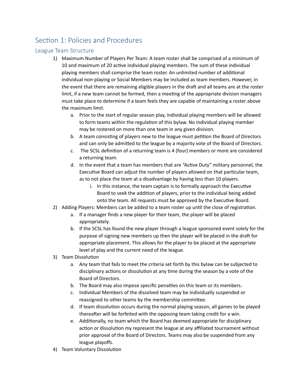## <span id="page-2-0"></span>Section 1: Policies and Procedures

#### <span id="page-2-1"></span>League Team Structure

- 1) Maximum Number of Players Per Team: A team roster shall be comprised of a minimum of 10 and maximum of 20 active individual playing members. The sum of these individual playing members shall comprise the team roster. An unlimited number of additional individual non-playing or Social Members may be included as team members. However, in the event that there are remaining eligible players in the draft and all teams are at the roster limit, if a new team cannot be formed, then a meeting of the appropriate division managers must take place to determine if a team feels they are capable of maintaining a roster above the maximum limit.
	- a. Prior to the start of regular season play, individual playing members will be allowed to form teams within the regulation of this bylaw. No individual playing member may be rostered on more than one team in any given division.
	- b. A team consisting of players new to the league must petition the Board of Directors and can only be admited to the league by a majority vote of the Board of Directors.
	- c. The SCSL definition of a returning team is 4 (four) members or more are considered a returning team.
	- d. In the event that a team has members that are "Active Duty" military personnel, the Executive Board can adjust the number of players allowed on that particular team, as to not place the team at a disadvantage by having less than 10 players.
		- i. In this instance, the team captain is to formally approach the Executive Board to seek the addition of players, prior to the individual being added onto the team. All requests must be approved by the Executive Board.
- 2) Adding Players: Members can be added to a team roster up until the close of registration.
	- a. If a manager finds a new player for their team, the player will be placed appropriately.
	- b. If the SCSL has found the new player through a league sponsored event solely for the purpose of signing new members up then the player will be placed in the draft for appropriate placement. This allows for the player to be placed at the appropriate level of play and the current need of the league.
- 3) Team Dissolution
	- a. Any team that fails to meet the criteria set forth by this bylaw can be subjected to disciplinary actions or dissolution at any time during the season by a vote of the Board of Directors.
	- b. The Board may also impose specific penalties on this team or its members.
	- c. Individual Members of the dissolved team may be individually suspended or reassigned to other teams by the membership commitee.
	- d. If team dissolution occurs during the normal playing season, all games to be played thereafter will be forfeited with the opposing team taking credit for a win.
	- e. Additionally, no team which the Board has deemed appropriate for disciplinary action or dissolution my represent the league at any affiliated tournament without prior approval of the Board of Directors. Teams may also be suspended from any league playoffs.
- 4) Team Voluntary Dissolution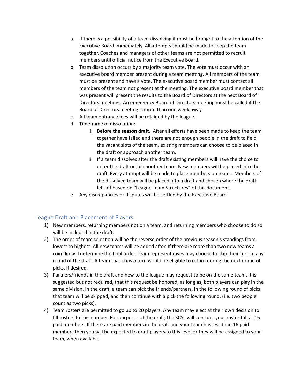- a. If there is a possibility of a team dissolving it must be brought to the attention of the Executive Board immediately. All attempts should be made to keep the team together. Coaches and managers of other teams are not permited to recruit members until official notice from the Executive Board.
- b. Team dissolution occurs by a majority team vote. The vote must occur with an executive board member present during a team meeting. All members of the team must be present and have a vote. The executive board member must contact all members of the team not present at the meeting. The executive board member that was present will present the results to the Board of Directors at the next Board of Directors meetings. An emergency Board of Directors meeting must be called if the Board of Directors meeting is more than one week away.
- c. All team entrance fees will be retained by the league.
- d. Timeframe of dissolution:
	- i. **Before the season draft**. After all efforts have been made to keep the team together have failed and there are not enough people in the draft to field the vacant slots of the team, existing members can choose to be placed in the draft or approach another team.
	- ii. If a team dissolves after the draft existing members will have the choice to enter the draft or join another team. New members will be placed into the draft. Every attempt will be made to place members on teams. Members of the dissolved team will be placed into a draft and chosen where the draft left off based on "League Team Structures" of this document.
- e. Any discrepancies or disputes will be settled by the Executive Board.

#### <span id="page-3-0"></span>League Draft and Placement of Players

- 1) New members, returning members not on a team, and returning members who choose to do so will be included in the draft.
- 2) The order of team selection will be the reverse order of the previous season's standings from lowest to highest. All new teams will be added after. If there are more than two new teams a coin flip will determine the final order. Team representatives may choose to skip their turn in any round of the draft. A team that skips a turn would be eligible to return during the next round of picks, if desired.
- 3) Partners/friends in the draft and new to the league may request to be on the same team. It is suggested but not required, that this request be honored, as long as, both players can play in the same division. In the draft, a team can pick the friends/partners, in the following round of picks that team will be skipped, and then continue with a pick the following round. (i.e. two people count as two picks).
- 4) Team rosters are permited to go up to 20 players. Any team may elect at their own decision to fill rosters to this number. For purposes of the draft, the SCSL will consider your roster full at 16 paid members. If there are paid members in the draft and your team has less than 16 paid members then you will be expected to draft players to this level or they will be assigned to your team, when available.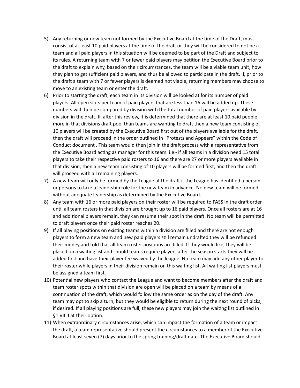- 5) Any returning or new team not formed by the Executive Board at the time of the Draft, must consist of at least 10 paid players at the time of the draft or they will be considered to not be a team and all paid players in this situation will be deemed to be part of the Draft and subject to its rules. A returning team with 7 or fewer paid players may petition the Executive Board prior to the draft to explain why, based on their circumstances, the team will be a viable team unit, how they plan to get sufficient paid players, and thus be allowed to par�cipate in the dra�. If, prior to the draft a team with 7 or fewer players is deemed not viable, returning members may choose to move to an existing team or enter the draft.
- 6) Prior to starting the draft, each team in its division will be looked at for its number of paid players. All open slots per team of paid players that are less than 16 will be added up. These numbers will then be compared by division with the total number of paid players available by division in the draft. If, after this review, it is determined that there are at least 10 paid people more in that divisions draft pool than teams are wanting to draft then a new team consisting of 10 players will be created by the Executive Board first out of the players available for the draft, then the draft will proceed in the order outlined in "Protests and Appears" within the Code of Conduct document . This team would then join in the draft process with a representative from the Executive Board acting as manager for this team. i.e.- if all teams in a division need 15 total players to take their respective paid rosters to 16 and there are 27 or more players available in that division, then a new team consisting of 10 players will be formed first, and then the draft will proceed with all remaining players.
- 7) A new team will only be formed by the League at the draft if the League has identified a person or persons to take a leadership role for the new team in advance. No new team will be formed without adequate leadership as determined by the Executive Board.
- 8) Any team with 16 or more paid players on their roster will be required to PASS in the draft order until all team rosters in that division are brought up to 16 paid players. Once all rosters are at 16 and additional players remain, they can resume their spot in the draft. No team will be permitted to draft players once their paid roster reaches 20.
- 9) If all playing positions on existing teams within a division are filled and there are not enough players to form a new team and new paid players still remain undrafted they will be refunded their money and told that all team roster positions are filled. If they would like, they will be placed on a waiting list and should teams require players after the season starts they will be added first and have their player fee waived by the league. No team may add any other player to their roster while players in their division remain on this waiting list. All waiting list players must be assigned a team first.
- 10) Potential new players who contact the League and want to become members after the draft and team roster spots within that division are open will be placed on a team by means of a continuation of the draft, which would follow the same order as on the day of the draft. Any team may opt to skip a turn, but they would be eligible to return during the next round of picks, if desired. If all playing positions are full, these new players may join the waiting list outlined in §1 VII. I at their option.
- 11) When extraordinary circumstances arise, which can impact the formation of a team or impact the draft, a team representative should present the circumstances to a member of the Executive Board at least seven (7) days prior to the spring training/draft date. The Executive Board should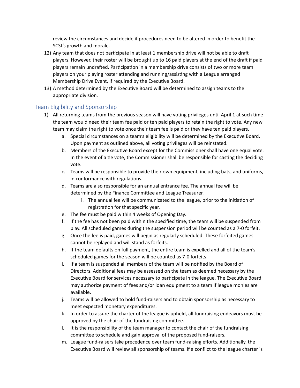review the circumstances and decide if procedures need to be altered in order to benefit the SCSL's growth and morale.

- 12) Any team that does not participate in at least 1 membership drive will not be able to draft players. However, their roster will be brought up to 16 paid players at the end of the draft if paid players remain undrafted. Participation in a membership drive consists of two or more team players on your playing roster attending and running/assisting with a League arranged Membership Drive Event, if required by the Executive Board.
- 13) A method determined by the Executive Board will be determined to assign teams to the appropriate division.

#### <span id="page-5-0"></span>Team Eligibility and Sponsorship

- 1) All returning teams from the previous season will have voting privileges until April 1 at such time the team would need their team fee paid or ten paid players to retain the right to vote. Any new team may claim the right to vote once their team fee is paid or they have ten paid players.
	- a. Special circumstances on a team's eligibility will be determined by the Executive Board. Upon payment as outlined above, all voting privileges will be reinstated.
	- b. Members of the Executive Board except for the Commissioner shall have one equal vote. In the event of a tie vote, the Commissioner shall be responsible for casting the deciding vote.
	- c. Teams will be responsible to provide their own equipment, including bats, and uniforms, in conformance with regulations.
	- d. Teams are also responsible for an annual entrance fee. The annual fee will be determined by the Finance Commitee and League Treasurer.
		- i. The annual fee will be communicated to the league, prior to the initiation of registration for that specific year.
	- e. The fee must be paid within 4 weeks of Opening Day.
	- f. If the fee has not been paid within the specified time, the team will be suspended from play. All scheduled games during the suspension period will be counted as a 7-0 forfeit.
	- g. Once the fee is paid, games will begin as regularly scheduled. These forfeited games cannot be replayed and will stand as forfeits.
	- h. If the team defaults on full payment, the entire team is expelled and all of the team's scheduled games for the season will be counted as 7-0 forfeits.
	- i. If a team is suspended all members of the team will be notified by the Board of Directors. Additional fees may be assessed on the team as deemed necessary by the Executive Board for services necessary to participate in the league. The Executive Board may authorize payment of fees and/or loan equipment to a team if league monies are available.
	- j. Teams will be allowed to hold fund-raisers and to obtain sponsorship as necessary to meet expected monetary expenditures.
	- k. In order to assure the charter of the league is upheld, all fundraising endeavors must be approved by the chair of the fundraising commitee.
	- l. It is the responsibility of the team manager to contact the chair of the fundraising commitee to schedule and gain approval of the proposed fund-raisers.
	- m. League fund-raisers take precedence over team fund-raising efforts. Additionally, the Executive Board will review all sponsorship of teams. If a conflict to the league charter is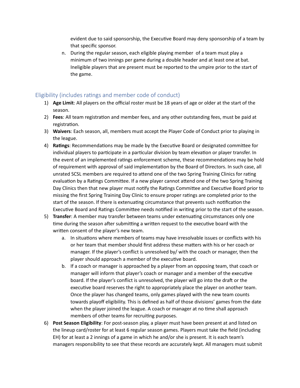evident due to said sponsorship, the Executive Board may deny sponsorship of a team by that specific sponsor.

n. During the regular season, each eligible playing member of a team must play a minimum of two innings per game during a double header and at least one at bat. Ineligible players that are present must be reported to the umpire prior to the start of the game.

#### <span id="page-6-0"></span>Eligibility (includes ratings and member code of conduct)

- 1) **Age Limit**: All players on the official roster must be 18 years of age or older at the start of the season.
- 2) **Fees**: All team registration and member fees, and any other outstanding fees, must be paid at registration.
- 3) **Waivers**: Each season, all, members must accept the Player Code of Conduct prior to playing in the league.
- 4) **Ratings**: Recommendations may be made by the Executive Board or designated committee for individual players to participate in a particular division by team elevation or player transfer. In the event of an implemented ratings enforcement scheme, these recommendations may be hold of requirement with approval of said implementation by the Board of Directors. In such case, all unrated SCSL members are required to attend one of the two Spring Training Clinics for rating evaluation by a Ratings Committee. If a new player cannot attend one of the two Spring Training Day Clinics then that new player must notify the Ratings Committee and Executive Board prior to missing the first Spring Training Day Clinic to ensure proper ratings are completed prior to the start of the season. If there is extenuating circumstance that prevents such notification the Executive Board and Ratings Committee needs notified in writing prior to the start of the season.
- 5) **Transfer**: A member may transfer between teams under extenuating circumstances only one time during the season after submitting a written request to the executive board with the writen consent of the player's new team.
	- a. In situations where members of teams may have irresolvable issues or conflicts with his or her team that member should first address these maters with his or her coach or manager. If the player's conflict is unresolved by/ with the coach or manager, then the player should approach a member of the executive board.
	- b. If a coach or manager is approached by a player from an opposing team, that coach or manager will inform that player's coach or manager and a member of the executive board. If the player's conflict is unresolved, the player will go into the draft or the executive board reserves the right to appropriately place the player on another team. Once the player has changed teams, only games played with the new team counts towards playoff eligibility. This is defined as half of those divisions' games from the date when the player joined the league. A coach or manager at no time shall approach members of other teams for recruiting purposes.
- 6) **Post Season Eligibility**: For post-season play, a player must have been present at and listed on the lineup card/roster for at least 6 regular season games. Players must take the field (including EH) for at least a 2 innings of a game in which he and/or she is present. It is each team's managers responsibility to see that these records are accurately kept. All managers must submit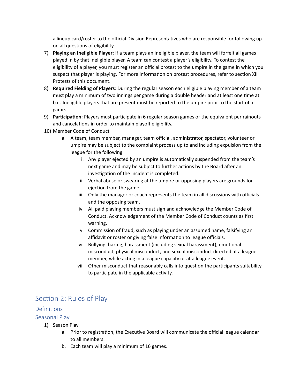a lineup card/roster to the official Division Representatives who are responsible for following up on all questions of eligibility.

- 7) **Playing an Ineligible Player**: If a team plays an ineligible player, the team will forfeit all games played in by that ineligible player. A team can contest a player's eligibility. To contest the eligibility of a player, you must register an official protest to the umpire in the game in which you suspect that player is playing. For more information on protest procedures, refer to section XII Protests of this document.
- 8) **Required Fielding of Players**: During the regular season each eligible playing member of a team must play a minimum of two innings per game during a double header and at least one time at bat. Ineligible players that are present must be reported to the umpire prior to the start of a game.
- 9) Participation: Players must participate in 6 regular season games or the equivalent per rainouts and cancelations in order to maintain playoff eligibility.
- 10) Member Code of Conduct
	- a. A team, team member, manager, team official, administrator, spectator, volunteer or umpire may be subject to the complaint process up to and including expulsion from the league for the following:
		- i. Any player ejected by an umpire is automatically suspended from the team's next game and may be subject to further actions by the Board after an investigation of the incident is completed.
		- ii. Verbal abuse or swearing at the umpire or opposing players are grounds for ejection from the game.
		- iii. Only the manager or coach represents the team in all discussions with officials and the opposing team.
		- iv. All paid playing members must sign and acknowledge the Member Code of Conduct. Acknowledgement of the Member Code of Conduct counts as first warning.
		- v. Commission of fraud, such as playing under an assumed name, falsifying an affidavit or roster or giving false information to league officials.
		- vi. Bullying, hazing, harassment (including sexual harassment), emotional misconduct, physical misconduct, and sexual misconduct directed at a league member, while acting in a league capacity or at a league event.
		- vii. Other misconduct that reasonably calls into question the participants suitability to participate in the applicable activity.

### <span id="page-7-0"></span>Section 2: Rules of Play

#### <span id="page-7-1"></span>**Definitions**

#### <span id="page-7-2"></span>Seasonal Play

- 1) Season Play
	- a. Prior to registration, the Executive Board will communicate the official league calendar to all members.
	- b. Each team will play a minimum of 16 games.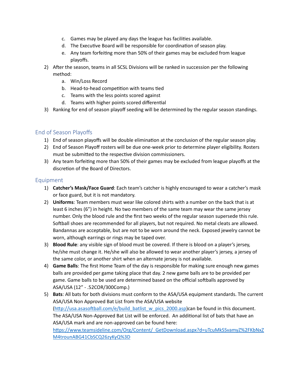- c. Games may be played any days the league has facilities available.
- d. The Executive Board will be responsible for coordination of season play.
- e. Any team forfeiting more than 50% of their games may be excluded from league playoffs.
- 2) After the season, teams in all SCSL Divisions will be ranked in succession per the following method:
	- a. Win/Loss Record
	- b. Head-to-head competition with teams tied
	- c. Teams with the less points scored against
	- d. Teams with higher points scored differential
- 3) Ranking for end of season playoff seeding will be determined by the regular season standings.

#### <span id="page-8-0"></span>End of Season Playoffs

- 1) End of season playoffs will be double elimination at the conclusion of the regular season play.
- 2) End of Season Playoff rosters will be due one-week prior to determine player eligibility. Rosters must be submitted to the respective division commissioners.
- 3) Any team forfeiting more than 50% of their games may be excluded from league playoffs at the discretion of the Board of Directors.

#### <span id="page-8-1"></span>Equipment

- 1) **Catcher's Mask/Face Guard**: Each team's catcher is highly encouraged to wear a catcher's mask or face guard, but it is not mandatory.
- 2) **Uniforms**: Team members must wear like colored shirts with a number on the back that is at least 6 inches (6") in height. No two members of the same team may wear the same jersey number. Only the blood rule and the first two weeks of the regular season supersede this rule. So�ball shoes are recommended for all players, but not required. No metal cleats are allowed. Bandannas are acceptable, but are not to be worn around the neck. Exposed jewelry cannot be worn, although earrings or rings may be taped over.
- 3) **Blood Rule**: any visible sign of blood must be covered. If there is blood on a player's jersey, he/she must change it. He/she will also be allowed to wear another player's jersey, a jersey of the same color, or another shirt when an alternate jersey is not available.
- 4) **Game Balls**: The first Home Team of the day is responsible for making sure enough new games balls are provided per game taking place that day. 2 new game balls are to be provided per game. Game balls to be used are determined based on the official softballs approved by ASA/USA (12" - .52COR/300Comp.)
- 5) **Bats**: All bats for both divisions must conform to the ASA/USA equipment standards. The current ASA/USA Non Approved Bat List from the ASA/USA website (http://usa.asasoftball.com/e/build\_batlist\_w\_pics\_2000.asp)can be found in this document. The ASA/USA Non-Approved Bat List will be enforced. An additional list of bats that have an ASA/USA mark and are non-approved can be found here: [htps://www.teamsideline.com/Org/Content/\\_GetDownload.aspx?d=uTcuMkSSvamyZ%2FKbNxZ](https://www.teamsideline.com/Org/Content/_GetDownload.aspx?d=uTcuMkSSvamyZ%2FKbNxZM4trounABG41CbSCQ26zyKyQ%3D) [M4trounABG41CbSCQ26zyKyQ%3D](https://www.teamsideline.com/Org/Content/_GetDownload.aspx?d=uTcuMkSSvamyZ%2FKbNxZM4trounABG41CbSCQ26zyKyQ%3D)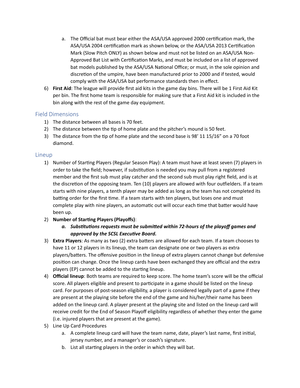- a. The Official bat must bear either the ASA/USA approved 2000 certification mark, the ASA/USA 2004 certification mark as shown below, or the ASA/USA 2013 Certification Mark (Slow Pitch ONLY) as shown below and must not be listed on an ASA/USA Non-Approved Bat List with Certification Marks, and must be included on a list of approved bat models published by the ASA/USA National Office; or must, in the sole opinion and discretion of the umpire, have been manufactured prior to 2000 and if tested, would comply with the ASA/USA bat performance standards then in effect.
- 6) **First Aid**: The league will provide first aid kits in the game day bins. There will be 1 First Aid Kit per bin. The first home team is responsible for making sure that a First Aid kit is included in the bin along with the rest of the game day equipment.

#### <span id="page-9-0"></span>Field Dimensions

- 1) The distance between all bases is 70 feet.
- 2) The distance between the tip of home plate and the pitcher's mound is 50 feet.
- 3) The distance from the tip of home plate and the second base is 98' 11  $15/16$ " on a 70 foot diamond.

#### <span id="page-9-1"></span>Lineup

- 1) Number of Starting Players (Regular Season Play): A team must have at least seven (7) players in order to take the field; however, if substitution is needed you may pull from a registered member and the first sub must play catcher and the second sub must play right field, and is at the discretion of the opposing team. Ten (10) players are allowed with four outfielders. If a team starts with nine players, a tenth player may be added as long as the team has not completed its batting order for the first time. If a team starts with ten players, but loses one and must complete play with nine players, an automatic out will occur each time that batter would have been up.
- 2) **Number of Star�ng Players (Playoffs)**:
	- *a. Substitutions requests must be submitted within 72-hours of the playoff games and approved by the SCSL Executive Board.*
- 3) **Extra Players**: As many as two (2) extra baters are allowed for each team. If a team chooses to have 11 or 12 players in its lineup, the team can designate one or two players as extra players/baters. The offensive posi�on in the lineup of extra players cannot change but defensive posi�on can change. Once the lineup cards have been exchanged they are official and the extra players (EP) cannot be added to the starting lineup.
- 4) **Official lineup**: Both teams are required to keep score. The home team's score will be the official score. All players eligible and present to participate in a game should be listed on the lineup card. For purposes of post-season eligibility, a player is considered legally part of a game if they are present at the playing site before the end of the game and his/her/their name has been added on the lineup card. A player present at the playing site and listed on the lineup card will receive credit for the End of Season Playoff eligibility regardless of whether they enter the game (i.e. injured players that are present at the game).
- 5) Line Up Card Procedures
	- a. A complete lineup card will have the team name, date, player's last name, first initial, jersey number, and a manager's or coach's signature.
	- b. List all starting players in the order in which they will bat.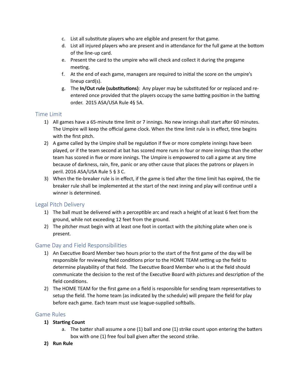- c. List all substitute players who are eligible and present for that game.
- d. List all injured players who are present and in attendance for the full game at the bottom of the line-up card.
- e. Present the card to the umpire who will check and collect it during the pregame meeting.
- f. At the end of each game, managers are required to initial the score on the umpire's lineup card(s).
- g. The **In/Out rule (subs�tu�ons)**: Any player may be subs�tuted for or replaced and reentered once provided that the players occupy the same batting position in the batting order. 2015 ASA/USA Rule 4§ 5A.

#### <span id="page-10-0"></span>Time Limit

- 1) All games have a 65-minute time limit or 7 innings. No new innings shall start after 60 minutes. The Umpire will keep the official game clock. When the time limit rule is in effect, time begins with the first pitch.
- 2) A game called by the Umpire shall be regulation if five or more complete innings have been played, or if the team second at bat has scored more runs in four or more innings than the other team has scored in five or more innings. The Umpire is empowered to call a game at any time because of darkness, rain, fire, panic or any other cause that places the patrons or players in peril. 2016 ASA/USA Rule 5 § 3 C.
- 3) When the tie-breaker rule is in effect, if the game is tied after the time limit has expired, the tie breaker rule shall be implemented at the start of the next inning and play will continue until a winner is determined.

#### <span id="page-10-1"></span>Legal Pitch Delivery

- 1) The ball must be delivered with a perceptible arc and reach a height of at least 6 feet from the ground, while not exceeding 12 feet from the ground.
- 2) The pitcher must begin with at least one foot in contact with the pitching plate when one is present.

#### <span id="page-10-2"></span>Game Day and Field Responsibilities

- 1) An Executive Board Member two hours prior to the start of the first game of the day will be responsible for reviewing field conditions prior to the HOME TEAM setting up the field to determine playability of that field. The Executive Board Member who is at the field should communicate the decision to the rest of the Executive Board with pictures and description of the field conditions.
- 2) The HOME TEAM for the first game on a field is responsible for sending team representatives to setup the field. The home team (as indicated by the schedule) will prepare the field for play before each game. Each team must use league-supplied softballs.

#### <span id="page-10-3"></span>Game Rules

- **1)** Starting Count
	- a. The batter shall assume a one (1) ball and one (1) strike count upon entering the batters box with one (1) free foul ball given after the second strike.
- **2) Run Rule**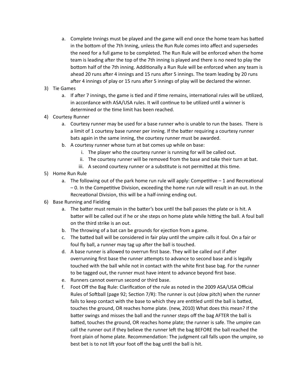- a. Complete Innings must be played and the game will end once the home team has bated in the bottom of the 7th Inning, unless the Run Rule comes into affect and supersedes the need for a full game to be completed. The Run Rule will be enforced when the home team is leading a�er the top of the 7th inning is played and there is no need to play the bottom half of the 7th inning. Additionally a Run Rule will be enforced when any team is ahead 20 runs after 4 innings and 15 runs after 5 innings. The team leading by 20 runs after 4 innings of play or 15 runs after 5 innings of play will be declared the winner.
- 3) Tie Games
	- a. If after 7 innings, the game is tied and if time remains, international rules will be utilized, in accordance with ASA/USA rules. It will continue to be utilized until a winner is determined or the time limit has been reached.
- 4) Courtesy Runner
	- a. Courtesy runner may be used for a base runner who is unable to run the bases. There is a limit of 1 courtesy base runner per inning. If the bater requiring a courtesy runner bats again in the same inning, the courtesy runner must be awarded.
	- b. A courtesy runner whose turn at bat comes up while on base:
		- i. The player who the courtesy runner is running for will be called out.
		- ii. The courtesy runner will be removed from the base and take their turn at bat.
		- iii. A second courtesy runner or a substitute is not permitted at this time.
- 5) Home Run Rule
	- a. The following out of the park home run rule will apply: Competitive  $-1$  and Recreational  $-0$ . In the Competitive Division, exceeding the home run rule will result in an out. In the Recreational Division, this will be a half-inning ending out.
- 6) Base Running and Fielding
	- a. The batter must remain in the batter's box until the ball passes the plate or is hit. A batter will be called out if he or she steps on home plate while hitting the ball. A foul ball on the third strike is an out.
	- b. The throwing of a bat can be grounds for ejection from a game.
	- c. The batted ball will be considered in fair play until the umpire calls it foul. On a fair or foul fly ball, a runner may tag up after the ball is touched.
	- d. A base runner is allowed to overrun first base. They will be called out if a�er overrunning first base the runner atempts to advance to second base and is legally touched with the ball while not in contact with the white first base bag. For the runner to be tagged out, the runner must have intent to advance beyond first base.
	- e. Runners cannot overrun second or third base.
	- f. Foot Off the Bag Rule: Clarification of the rule as noted in the 2009 ASA/USA Official Rules of Softball (page 92; Section 7/R): The runner is out (slow pitch) when the runner fails to keep contact with the base to which they are entitled until the ball is batted, touches the ground, OR reaches home plate. (new, 2010) What does this mean? If the bater swings and misses the ball and the runner steps off the bag AFTER the ball is batted, touches the ground, OR reaches home plate; the runner is safe. The umpire can call the runner out if they believe the runner left the bag BEFORE the ball reached the front plain of home plate. Recommendation: The judgment call falls upon the umpire, so best bet is to not lift your foot off the bag until the ball is hit.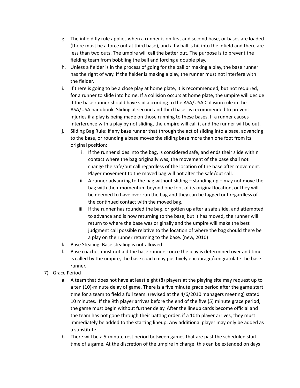- g. The infield fly rule applies when a runner is on first and second base, or bases are loaded (there must be a force out at third base), and a fly ball is hit into the infield and there are less than two outs. The umpire will call the bater out. The purpose is to prevent the fielding team from bobbling the ball and forcing a double play.
- h. Unless a fielder is in the process of going for the ball or making a play, the base runner has the right of way. If the fielder is making a play, the runner must not interfere with the fielder.
- i. If there is going to be a close play at home plate, it is recommended, but not required, for a runner to slide into home. If a collision occurs at home plate, the umpire will decide if the base runner should have slid according to the ASA/USA Collision rule in the ASA/USA handbook. Sliding at second and third bases is recommended to prevent injuries if a play is being made on those running to these bases. If a runner causes interference with a play by not sliding, the umpire will call it and the runner will be out.
- j. Sliding Bag Rule: If any base runner that through the act of sliding into a base, advancing to the base, or rounding a base moves the sliding base more than one foot from its original position:
	- i. If the runner slides into the bag, is considered safe, and ends their slide within contact where the bag originally was, the movement of the base shall not change the safe/out call regardless of the location of the base after movement. Player movement to the moved bag will not alter the safe/out call.
	- ii. A runner advancing to the bag without sliding  $-$  standing up  $-$  may not move the bag with their momentum beyond one foot of its original location, or they will be deemed to have over run the bag and they can be tagged out regardless of the continued contact with the moved bag.
	- iii. If the runner has rounded the bag, or gotten up after a safe slide, and attempted to advance and is now returning to the base, but it has moved, the runner will return to where the base was originally and the umpire will make the best judgment call possible relative to the location of where the bag should there be a play on the runner returning to the base. (new, 2010)
- k. Base Stealing: Base stealing is not allowed.
- l. Base coaches must not aid the base runners; once the play is determined over and time is called by the umpire, the base coach may positively encourage/congratulate the base runner.
- 7) Grace Period
	- a. A team that does not have at least eight (8) players at the playing site may request up to a ten (10)-minute delay of game. There is a five minute grace period after the game start time for a team to field a full team. (revised at the 4/6/2010 managers meeting) stated 10 minutes. If the 9th player arrives before the end of the five (5) minute grace period, the game must begin without further delay. A�er the lineup cards become official and the team has not gone through their batting order, if a 10th player arrives, they must immediately be added to the starting lineup. Any additional player may only be added as a substitute.
	- b. There will be a 5-minute rest period between games that are past the scheduled start time of a game. At the discretion of the umpire in charge, this can be extended on days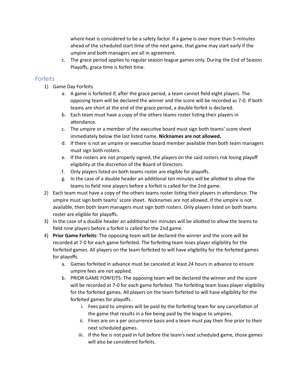where heat is considered to be a safety factor. If a game is over more than 5-minutes ahead of the scheduled start time of the next game, that game may start early if the umpire and both managers are all in agreement.

c. The grace period applies to regular season league games only. During the End of Season Playoffs, grace time is forfeit time.

#### <span id="page-13-0"></span>Forfeits

- 1) Game Day Forfeits
	- a. A game is forfeited if, after the grace period, a team cannot field eight players. The opposing team will be declared the winner and the score will be recorded as 7-0. If both teams are short at the end of the grace period, a double forfeit is declared.
	- b. Each team must have a copy of the others teams roster listing their players in attendance.
	- c. The umpire or a member of the executive board must sign both teams' score sheet immediately below the last listed name. **Nicknames are not allowed.**
	- d. If there is not an umpire or executive board member available then both team managers must sign both rosters.
	- e. If the rosters are not properly signed, the players on the said rosters risk losing playoff eligibility at the discretion of the Board of Directors.
	- f. Only players listed on both teams roster are eligible for playoffs.
	- g. In the case of a double header an addi�onal ten minutes will be alloted to allow the teams to field nine players before a forfeit is called for the 2nd game.
- 2) Each team must have a copy of the others teams roster listing their players in attendance. The umpire must sign both teams' score sheet. Nicknames are not allowed. If the umpire is not available, then both team managers must sign both rosters. Only players listed on both teams roster are eligible for playoffs.
- 3) In the case of a double header an addi�onal ten minutes will be alloted to allow the teams to field nine players before a forfeit is called for the 2nd game.
- 4) **Prior Game Forfeits**: The opposing team will be declared the winner and the score will be recorded at 7-0 for each game forfeited. The forfeiting team loses player eligibility for the forfeited games. All players on the team forfeited to will have eligibility for the forfeited games for playoffs.
	- a. Games forfeited in advance must be canceled at least 24 hours in advance to ensure umpire fees are not applied.
	- b. PRIOR GAME FORFEITS: The opposing team will be declared the winner and the score will be recorded at 7-0 for each game forfeited. The forfeiting team loses player eligibility for the forfeited games. All players on the team forfeited to will have eligibility for the forfeited games for playoffs.
		- i. Fees paid to umpires will be paid by the forfeiting team for any cancellation of the game that results in a fee being paid by the league to umpires.
		- ii. Fines are on a per occurrence basis and a team must pay their fine prior to their next scheduled games.
		- iii. If the fee is not paid in full before the team's next scheduled game, those games will also be considered forfeits.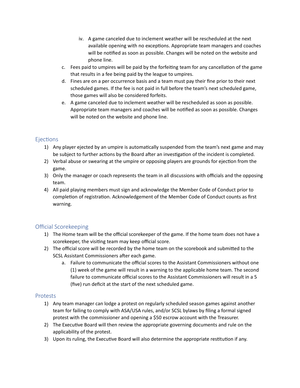- iv. A game canceled due to inclement weather will be rescheduled at the next available opening with no exceptions. Appropriate team managers and coaches will be notified as soon as possible. Changes will be noted on the website and phone line.
- c. Fees paid to umpires will be paid by the forfeiting team for any cancellation of the game that results in a fee being paid by the league to umpires.
- d. Fines are on a per occurrence basis and a team must pay their fine prior to their next scheduled games. If the fee is not paid in full before the team's next scheduled game, those games will also be considered forfeits.
- e. A game canceled due to inclement weather will be rescheduled as soon as possible. Appropriate team managers and coaches will be no�fied as soon as possible. Changes will be noted on the website and phone line.

#### <span id="page-14-0"></span>**Ejections**

- 1) Any player ejected by an umpire is automa�cally suspended from the team's next game and may be subject to further actions by the Board after an investigation of the incident is completed.
- 2) Verbal abuse or swearing at the umpire or opposing players are grounds for ejection from the game.
- 3) Only the manager or coach represents the team in all discussions with officials and the opposing team.
- 4) All paid playing members must sign and acknowledge the Member Code of Conduct prior to completion of registration. Acknowledgement of the Member Code of Conduct counts as first warning.

#### <span id="page-14-1"></span>Official Scorekeeping

- 1) The Home team will be the official scorekeeper of the game. If the home team does not have a scorekeeper, the visiting team may keep official score.
- 2) The official score will be recorded by the home team on the scorebook and submited to the SCSL Assistant Commissioners after each game.
	- a. Failure to communicate the official scores to the Assistant Commissioners without one (1) week of the game will result in a warning to the applicable home team. The second failure to communicate official scores to the Assistant Commissioners will result in a 5 (five) run deficit at the start of the next scheduled game.

#### <span id="page-14-2"></span>Protests

- 1) Any team manager can lodge a protest on regularly scheduled season games against another team for failing to comply with ASA/USA rules, and/or SCSL bylaws by filing a formal signed protest with the commissioner and opening a \$50 escrow account with the Treasurer.
- 2) The Executive Board will then review the appropriate governing documents and rule on the applicability of the protest.
- 3) Upon its ruling, the Executive Board will also determine the appropriate restitution if any.